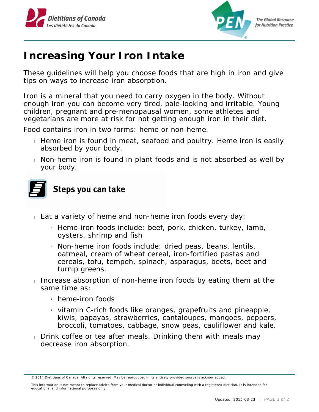



**The Global Resource** for Nutrition Practice

## **Increasing Your Iron Intake**

These guidelines will help you choose foods that are high in iron and give tips on ways to increase iron absorption.

Iron is a mineral that you need to carry oxygen in the body. Without enough iron you can become very tired, pale-looking and irritable. Young children, pregnant and pre-menopausal women, some athletes and vegetarians are more at risk for not getting enough iron in their diet.

Food contains iron in two forms: heme or non-heme.

- Heme iron is found in meat, seafood and poultry. Heme iron is easily absorbed by your body.
- Non-heme iron is found in plant foods and is not absorbed as well by your body.



## Steps you can take

- Eat a variety of heme and non-heme iron foods every day:
	- » Heme-iron foods include: beef, pork, chicken, turkey, lamb, oysters, shrimp and fish
	- » Non-heme iron foods include: dried peas, beans, lentils, oatmeal, cream of wheat cereal, iron-fortified pastas and cereals, tofu, tempeh, spinach, asparagus, beets, beet and turnip greens.
- Increase absorption of non-heme iron foods by eating them at the same time as:
	- $\mu$  heme-iron foods
	- » vitamin C-rich foods like oranges, grapefruits and pineapple, kiwis, papayas, strawberries, cantaloupes, mangoes, peppers, broccoli, tomatoes, cabbage, snow peas, cauliflower and kale.
- Drink coffee or tea after meals. Drinking them with meals may decrease iron absorption.

<sup>© 2014</sup> Dietitians of Canada. All rights reserved. May be reproduced in its entirety provided source is acknowledged.

This information is not meant to replace advice from your medical doctor or individual counseling with a registered dietitian. It is intended for educational and informational purposes only.